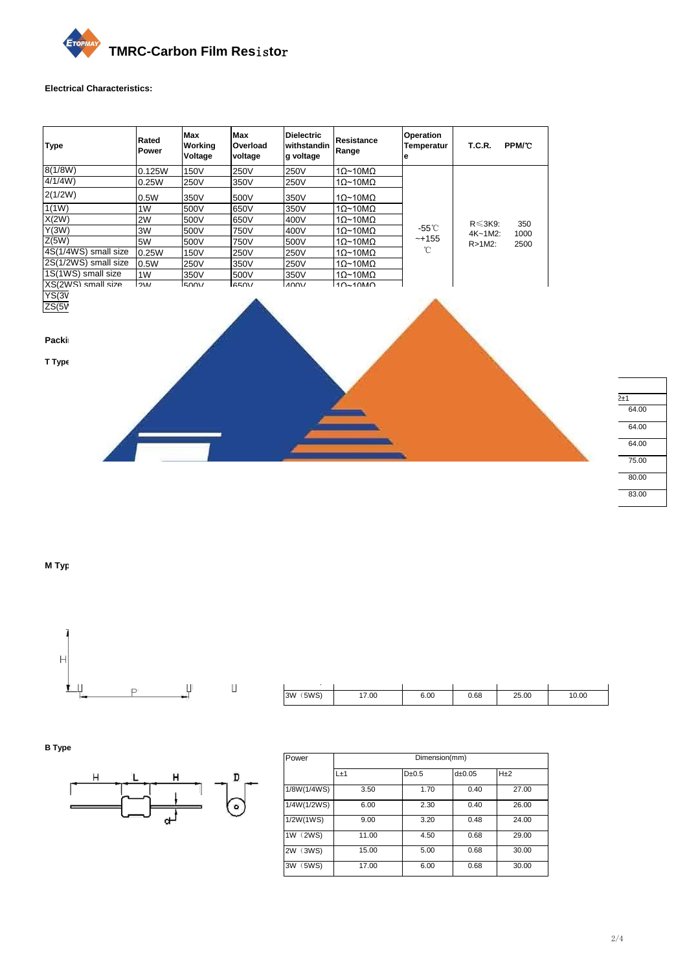

## **Electrical Characteristics:**

| <b>Type</b>          | Rated<br>Power | Max<br>Working<br>Voltage | Max<br>Overload<br>voltage | <b>Dielectric</b><br>withstandin<br>g voltage | Resistance<br>Range     | <b>Operation</b><br><b>Temperatur</b><br>е | <b>T.C.R.</b>  | PPM/°C |
|----------------------|----------------|---------------------------|----------------------------|-----------------------------------------------|-------------------------|--------------------------------------------|----------------|--------|
| 8(1/8W)              | 0.125W         | 150V                      | 250V                       | 250V                                          | $1\Omega$ ~10M $\Omega$ |                                            |                |        |
| 4/1/4W               | 0.25W          | 250V                      | 350V                       | 250V                                          | $1\Omega$ ~10M $\Omega$ |                                            |                |        |
| 2(1/2W)              | 0.5W           | 350V                      | 500V                       | 350V                                          | $1\Omega$ ~10M $\Omega$ |                                            |                |        |
| 1(1W)                | 1W             | 500V                      | 650V                       | 350V                                          | $1\Omega$ ~10M $\Omega$ |                                            |                |        |
| X(2W)                | 2W             | 500V                      | 650V                       | 400V                                          | $10~10$ M $\Omega$      |                                            | $R \leq 3K9$ : | 350    |
| Y(3W)                | 3W             | 500V                      | 750V                       | 400V                                          | $1\Omega$ ~10M $\Omega$ | -55°C                                      | $4K - 1M2$ :   | 1000   |
| Z(5W)                | 5W             | 500V                      | 750V                       | 500V                                          | $10~10$ M $\Omega$      | ~+155                                      | $R > 1M2$ :    | 2500   |
| 4S(1/4WS) small size | 0.25W          | 150V                      | 250V                       | 250V                                          | $1\Omega$ ~10M $\Omega$ | °C                                         |                |        |
| 2S(1/2WS) small size | 0.5W           | 250V                      | 350V                       | 250V                                          | $1\Omega$ ~10M $\Omega$ |                                            |                |        |
| 1S(1WS) small size   | 1 <sub>W</sub> | 350V                      | 500V                       | 350V                                          | $1\Omega$ ~10M $\Omega$ |                                            |                |        |
| XS(2WS) small size   | 2W             | 500V                      | 650V                       | 400V                                          | $1\Omega$ ~10M $\Omega$ |                                            |                |        |
| YS(3WS) small size   | 3W             | 500V                      | 750V                       | 500V                                          | $1\Omega$ ~10M $\Omega$ |                                            |                |        |
| ZS(5WS) small size   | 5W             | 500V                      | 750V                       | 500V                                          | $1\Omega$ ~10M $\Omega$ |                                            |                |        |

## **Packing dimension:**

**T Type**



| Power       | Dimension(mm) |            |        |             |          |        |  |
|-------------|---------------|------------|--------|-------------|----------|--------|--|
|             | L±1           | $D\pm 0.5$ | d±0.05 | $P_{\pm 1}$ | $W1\pm1$ | $W2+1$ |  |
| 1/8W(1/4WS) | 3.50          | 1.70       | 0.40   | 5.00        | 52.00    | 64.00  |  |
| 1/4W(1/2WS) | 6.00          | 2.30       | 0.40   | 5.00        | 52.00    | 64.00  |  |
| 1/2W(1WS)   | 9.00          | 3.20       | 0.48   | 5.00        | 52.00    | 64.00  |  |
| 1W (2WS)    | 11.00         | 4.50       | 0.68   | 5.00        | 63.00    | 75.00  |  |
| 2W (3WS)    | 15.00         | 5.00       | 0.68   | 5.00        | 68.00    | 80.00  |  |
| 3W (5WS)    | 17.00         | 6.00       | 0.68   | 10.00       | 71.00    | 83.00  |  |

**M Type**



| Power       | Dimension(mm) |            |          |       |       |  |  |
|-------------|---------------|------------|----------|-------|-------|--|--|
|             | L±1           | $D\pm 0.5$ | dpm 0.05 | P±1   | H±1   |  |  |
| 1/8W(1/4WS) | 3.50          | 1.70       | 0.40     | 5.00  | 10.00 |  |  |
| 1/4W(1/2WS) | 6.00          | 2.30       | 0.40     | 10.00 | 10.00 |  |  |
| 1/2W(1WS)   | 9.00          | 3.20       | 0.48     | 12.50 | 10.00 |  |  |
| 1W (2WS)    | 11.00         | 4.50       | 0.68     | 15.00 | 10.00 |  |  |
| 2W (3WS)    | 15.00         | 5.00       | 0.68     | 20.00 | 10.00 |  |  |
| 3W (5WS)    | 17.00         | 6.00       | 0.68     | 25.00 | 10.00 |  |  |

**B Type**



| Power       | Dimension(mm) |         |               |       |  |  |
|-------------|---------------|---------|---------------|-------|--|--|
|             | $L+1$         | $D+0.5$ | $d_{\pm}0.05$ | $H+2$ |  |  |
| 1/8W(1/4WS) | 3.50          | 1.70    | 0.40          | 27.00 |  |  |
| 1/4W(1/2WS) | 6.00          | 2.30    | 0.40          | 26.00 |  |  |
| 1/2W(1WS)   | 9.00          | 3.20    | 0.48          | 24.00 |  |  |
| 1W (2WS)    | 11.00         | 4.50    | 0.68          | 29.00 |  |  |
| 2W (3WS)    | 15.00         | 5.00    | 0.68          | 30.00 |  |  |
| 3W (5WS)    | 17.00         | 6.00    | 0.68          | 30.00 |  |  |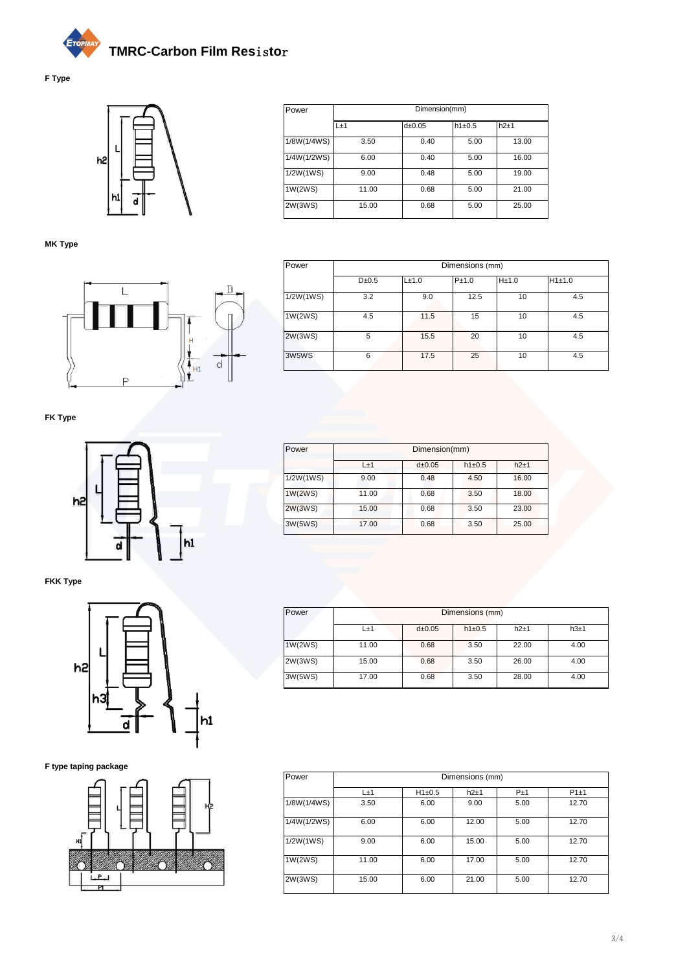



**MK Type**



L±1 d±0.05 h1±0.5 h2±1 1/8W(1/4WS) 3.50 0.40 5.00 13.00 1/4W(1/2WS) 6.00 0.40 5.00 16.00 1/2W(1WS) 9.00 0.48 5.00 19.00 1W(2WS) 11.00 0.68 5.00 21.00 2W(3WS) 15.00 0.68 5.00 25.00 Power Dimension(mm)

| Power     | Dimensions (mm) |       |       |       |        |  |  |
|-----------|-----------------|-------|-------|-------|--------|--|--|
|           | $D\pm 0.5$      | L±1.0 | P±1.0 | H±1.0 | H1±1.0 |  |  |
| 1/2W(1WS) | 3.2             | 9.0   | 12.5  | 10    | 4.5    |  |  |
| 1W(2WS)   | 4.5             | 11.5  | 15    | 10    | 4.5    |  |  |
| 2W(3WS)   | 5               | 15.5  | 20    | 10    | 4.5    |  |  |
| 3W5WS     | 6               | 17.5  | 25    | 10    | 4.5    |  |  |

**FK Type**



**FKK Type**



**F type taping package**



| Power     | Dimension(mm) |          |            |        |  |  |
|-----------|---------------|----------|------------|--------|--|--|
|           | $L+1$         | dpm 0.05 | $h1\pm0.5$ | $h2+1$ |  |  |
| 1/2W(1WS) | 9.00          | 0.48     | 4.50       | 16.00  |  |  |
| 1W(2WS)   | 11.00         | 0.68     | 3.50       | 18.00  |  |  |
| 2W(3WS)   | 15.00         | 0.68     | 3.50       | 23.00  |  |  |
| 3W(5WS)   | 17.00         | 0.68     | 3.50       | 25.00  |  |  |

| Power   | Dimensions (mm) |          |            |       |      |  |
|---------|-----------------|----------|------------|-------|------|--|
|         | L±1             | dpm 0.05 | $h1\pm0.5$ | h2±1  | h3±1 |  |
| 1W(2WS) | 11.00           | 0.68     | 3.50       | 22.00 | 4.00 |  |
| 2W(3WS) | 15.00           | 0.68     | 3.50       | 26.00 | 4.00 |  |
| 3W(5WS) | 17.00           | 0.68     | 3.50       | 28.00 | 4.00 |  |

| Power       | Dimensions (mm) |            |       |       |       |  |  |
|-------------|-----------------|------------|-------|-------|-------|--|--|
|             | L±1             | $H1\pm0.5$ | h2±1  | $P+1$ | P1±1  |  |  |
| 1/8W(1/4WS) | 3.50            | 6.00       | 9.00  | 5.00  | 12.70 |  |  |
| 1/4W(1/2WS) | 6.00            | 6.00       | 12.00 | 5.00  | 12.70 |  |  |
| 1/2W(1WS)   | 9.00            | 6.00       | 15.00 | 5.00  | 12.70 |  |  |
| 1W(2WS)     | 11.00           | 6.00       | 17.00 | 5.00  | 12.70 |  |  |
| 2W(3WS)     | 15.00           | 6.00       | 21.00 | 5.00  | 12.70 |  |  |